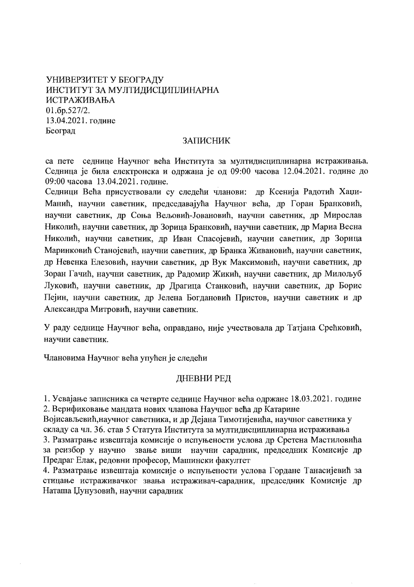# УНИВЕРЗИТЕТ У БЕОГРАДУ ИНСТИТУТ ЗА МУЛТИДИСЦИПЛИНАРНА ИСТРАЖИВАЊА 01.6p.527/2. 13.04.2021. године Београд

### **ЗАПИСНИК**

са пете седнице Научног већа Института за мултидисциплинарна истраживања. Седница је била електронска и одржана је од 09:00 часова 12.04.2021. године до 09:00 часова 13.04.2021. године.

Седници Већа присуствовали су следећи чланови: др Ксенија Радотић Хаџи-Манић, научни саветник, председавајућа Научног већа, др Горан Бранковић, научни саветник, др Соња Вељовић-Јовановић, научни саветник, др Мирослав Николић, научни саветник, др Зорица Бранковић, научни саветник, др Мариа Весна Николић, научни саветник, др Иван Спасојевић, научни саветник, др Зорица Маринковић Станојевић, научни саветник, др Бранка Живановић, научни саветник, др Невенка Елезовић, научни саветник, др Вук Максимовић, научни саветник, др Зоран Гачић, научни саветник, др Радомир Жикић, научни саветник, др Милољуб Луковић, научни саветник, др Драгица Станковић, научни саветник, др Борис Пејин, научни саветник, др Јелена Богдановић Пристов, научни саветник и др Александра Митровић, научни саветник.

У раду седнице Научног већа, оправдано, није учествовала др Татјана Срећковић, научни саветник.

Члановима Научног већа упућен је следећи

## ДНЕВНИ РЕД

1. Усвајање записника са четврте седнице Научног већа одржане 18.03.2021. године 2. Верификовање мандата нових чланова Научног већа др Катарине

Војисављевић, научног саветника, и др Дејана Тимотијевића, научног саветника у складу са чл. 36. став 5 Статута Института за мултидисциплинарна истраживања 3. Разматрање извештаја комисије о испуњености услова др Сретена Мастиловића за реизбор у научно звање виши научни сарадник, председник Комисије др Предраг Елак, редовни професор, Машински факултет

4. Разматрање извештаја комисије о испуњености услова Гордане Танасијевић за стицање истраживачког звања истраживач-сарадник, председник Комисије др Наташа Џунузовић, научни сарадник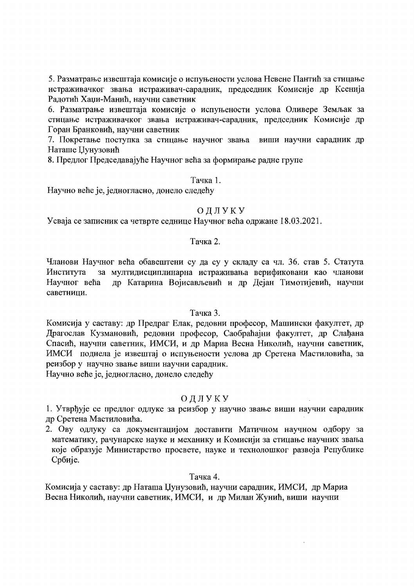5. Разматрање извештаја комисије о испуњености услова Невене Пантић за стицање истраживачког звања истраживач-сарадник, председник Комисије др Ксенија Радотић Хаџи-Манић, научни саветник

6. Разматрање извештаја комисије о испуњености услова Оливере Земљак за стицање истраживачког звања истраживач-сарадник, председник Комисије др Горан Бранковић, научни саветник

7. Покретање поступка за стицање научног звања виши научни сарадник др Наташе Џунузовић

8. Предлог Председавајуће Научног већа за формирање радне групе

#### Тачка 1.

Научно веће је, једногласно, донело следећу

### ОДЛУКУ

Усваја се записник са четврте седнице Научног већа одржане 18.03.2021.

#### Тачка 2.

Чланови Научног већа обавештени су да су у складу са чл. 36. став 5. Статута за мултидисциплинарна истраживања верификовани као чланови Института Научног већа др Катарина Војисављевић и др Дејан Тимотијевић, научни саветници.

#### Тачка 3.

Комисија у саставу: др Предраг Елак, редовни професор, Машински факултет, др Драгослав Кузмановић, редовни професор, Саобраћајни факултет, др Слађана Спасић, научни саветник, ИМСИ, и др Мариа Весна Николић, научни саветник, ИМСИ поднела је извештај о испуњености услова др Сретена Мастиловића, за реизбор у научно звање виши научни сарадник.

Научно веће је, једногласно, донело следећу

#### ОДЛУКУ

1. Утврђује се предлог одлуке за реизбор у научно звање виши научни сарадник др Сретена Мастиловића.

2. Ову одлуку са документацијом доставити Матичном научном одбору за математику, рачунарске науке и механику и Комисији за стицање научних звања које образује Министарство просвете, науке и технолошког развоја Републике Србије.

#### Тачка 4.

Комисија у саставу: др Наташа Џунузовић, научни сарадник, ИМСИ, др Мариа Весна Николић, научни саветник, ИМСИ, и др Милан Жунић, виши научни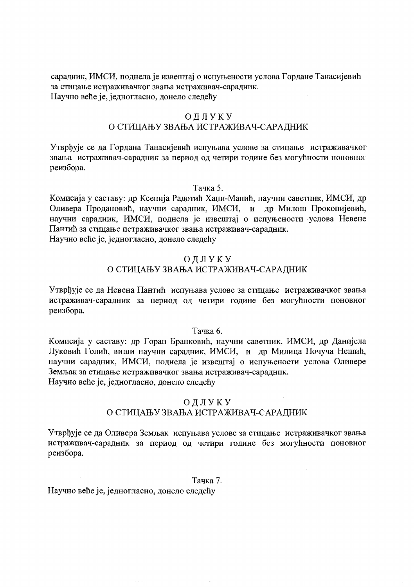сарадник, ИМСИ, поднела је извештај о испуњености услова Гордане Танасијевић за стицање истраживачког звања истраживач-сарадник. Научно веће је, једногласно, донело следећу

### ОДЛУКУ О СТИЦАЊУ ЗВАЊА ИСТРАЖИВАЧ-САРАДНИК

Утврђује се да Гордана Танасијевић испуњава услове за стицање истраживачког звања истраживач-сарадник за период од четири године без могућности поновног реизбора.

#### Тачка 5.

Комисија у саставу: др Ксенија Радотић Хаџи-Манић, научни саветник, ИМСИ, др Оливера Продановић, научни сарадник, ИМСИ, и др Милош Прокопијевић, научни сарадник, ИМСИ, поднела је извештај о испуњености услова Невене Пантић за стицање истраживачког звања истраживач-сарадник. Научно веће је, једногласно, донело следећу

### ОДЛУКУ

# О СТИЦАЊУ ЗВАЊА ИСТРАЖИВАЧ-САРАДНИК

Утврђује се да Невена Пантић испуњава услове за стицање истраживачког звања истраживач-сарадник за период од четири године без могућности поновног реизбора.

### Тачка б.

Комисија у саставу: др Горан Бранковић, научни саветник, ИМСИ, др Данијела Луковић Голић, виши научни сарадник, ИМСИ, и др Милица Почуча Нешић, научни сарадник, ИМСИ, поднела је извештај о испуњености услова Оливере Земљак за стицање истраживачког звања истраживач-сарадник. Научно веће је, једногласно, донело следећу

#### ОДЛУКУ

# О СТИЦАЊУ ЗВАЊА ИСТРАЖИВАЧ-САРАДНИК

Утврђује се да Оливера Земљак испуњава услове за стицање истраживачког звања истраживач-сарадник за период од четири године без могућности поновног реизбора.

#### Тачка 7.

Научно веће је, једногласно, донело следећу